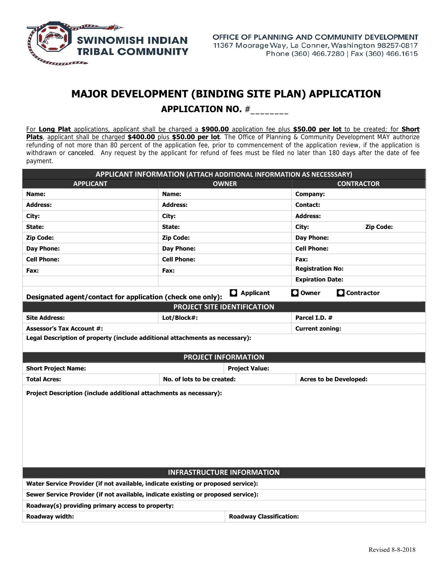

## **MAJOR DEVELOPMENT (BINDING SITE PLAN) APPLICATION APPLICATION NO.** #\_\_\_\_\_\_\_\_

For **Long Plat** applications, applicant shall be charged a **\$900.00** application fee plus **\$50.00 per lot** to be created; for **Short Plats**, applicant shall be charged **\$400.00** plus **\$50.00 per lot**. The Office of Planning & Community Development MAY authorize refunding of not more than 80 percent of the application fee, prior to commencement of the application review, if the application is withdrawn or canceled. Any request by the applicant for refund of fees must be filed no later than 180 days after the date of fee payment.

| APPLICANT INFORMATION (ATTACH ADDITIONAL INFORMATION AS NECESSSARY)               |                            |                                |                               |              |  |  |  |  |  |
|-----------------------------------------------------------------------------------|----------------------------|--------------------------------|-------------------------------|--------------|--|--|--|--|--|
| <b>APPLICANT</b>                                                                  |                            | <b>OWNER</b>                   | <b>CONTRACTOR</b>             |              |  |  |  |  |  |
| Name:                                                                             | Name:                      |                                | Company:                      |              |  |  |  |  |  |
| <b>Address:</b>                                                                   | <b>Address:</b>            |                                | Contact:                      |              |  |  |  |  |  |
| City:                                                                             | City:                      |                                | <b>Address:</b>               |              |  |  |  |  |  |
| State:                                                                            | State:                     |                                | <b>Zip Code:</b><br>City:     |              |  |  |  |  |  |
| <b>Zip Code:</b>                                                                  | <b>Zip Code:</b>           |                                | <b>Day Phone:</b>             |              |  |  |  |  |  |
| <b>Day Phone:</b>                                                                 | Day Phone:                 |                                | <b>Cell Phone:</b>            |              |  |  |  |  |  |
| <b>Cell Phone:</b>                                                                | <b>Cell Phone:</b>         |                                | Fax:                          |              |  |  |  |  |  |
| Fax:                                                                              | Fax:                       |                                | <b>Registration No:</b>       |              |  |  |  |  |  |
|                                                                                   |                            |                                | <b>Expiration Date:</b>       |              |  |  |  |  |  |
| Designated agent/contact for application (check one only):                        |                            | <b>Q</b> Applicant             | $\square$ Owner               | C Contractor |  |  |  |  |  |
| PROJECT SITE IDENTIFICATION                                                       |                            |                                |                               |              |  |  |  |  |  |
| <b>Site Address:</b>                                                              | Lot/Block#:                |                                | Parcel I.D. #                 |              |  |  |  |  |  |
| <b>Assessor's Tax Account #:</b>                                                  |                            |                                | <b>Current zoning:</b>        |              |  |  |  |  |  |
| Legal Description of property (include additional attachments as necessary):      |                            |                                |                               |              |  |  |  |  |  |
|                                                                                   |                            |                                |                               |              |  |  |  |  |  |
| <b>PROJECT INFORMATION</b>                                                        |                            |                                |                               |              |  |  |  |  |  |
| <b>Short Project Name:</b>                                                        |                            | <b>Project Value:</b>          |                               |              |  |  |  |  |  |
| <b>Total Acres:</b>                                                               | No. of lots to be created: |                                | <b>Acres to be Developed:</b> |              |  |  |  |  |  |
| Project Description (include additional attachments as necessary):                |                            |                                |                               |              |  |  |  |  |  |
| <b>INFRASTRUCTURE INFORMATION</b>                                                 |                            |                                |                               |              |  |  |  |  |  |
| Water Service Provider (if not available, indicate existing or proposed service): |                            |                                |                               |              |  |  |  |  |  |
| Sewer Service Provider (if not available, indicate existing or proposed service): |                            |                                |                               |              |  |  |  |  |  |
| Roadway(s) providing primary access to property:                                  |                            |                                |                               |              |  |  |  |  |  |
| Roadway width:                                                                    |                            | <b>Roadway Classification:</b> |                               |              |  |  |  |  |  |